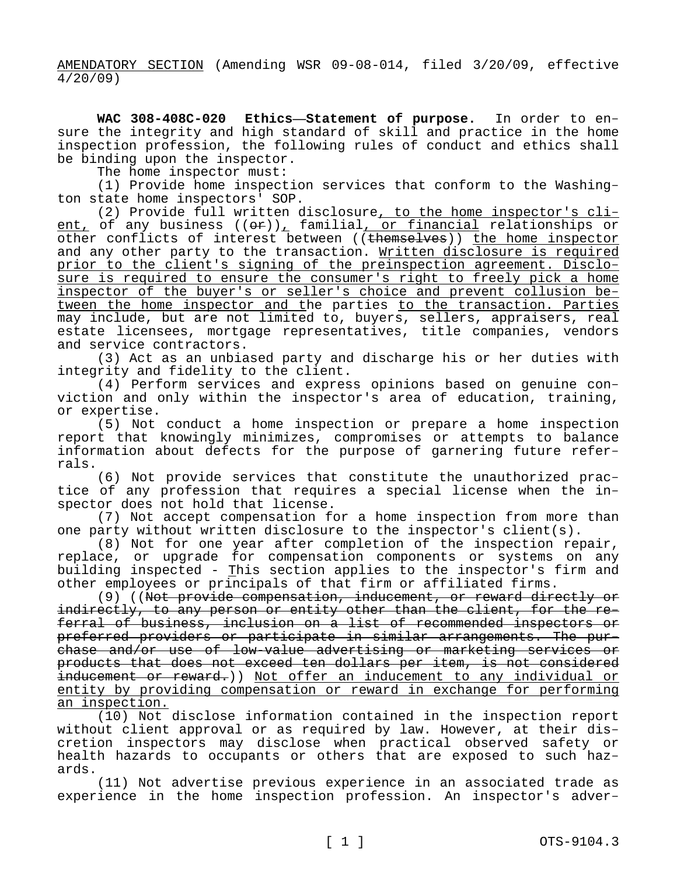AMENDATORY SECTION (Amending WSR 09-08-014, filed 3/20/09, effective 4/20/09)

**WAC 308-408C-020 Ethics—Statement of purpose.** In order to ensure the integrity and high standard of skill and practice in the home inspection profession, the following rules of conduct and ethics shall be binding upon the inspector.

The home inspector must:

(1) Provide home inspection services that conform to the Washington state home inspectors' SOP.

(2) Provide full written disclosure, to the home inspector's client, of any business  $((\theta \cdot \hat{r}))_T$  familial, or financial relationships or other conflicts of interest between ((themselves)) the home inspector and any other party to the transaction. Written disclosure is required prior to the client's signing of the preinspection agreement. Disclosure is required to ensure the consumer's right to freely pick a home inspector of the buyer's or seller's choice and prevent collusion between the home inspector and the parties to the transaction. Parties may include, but are not limited to, buyers, sellers, appraisers, real estate licensees, mortgage representatives, title companies, vendors and service contractors.

(3) Act as an unbiased party and discharge his or her duties with integrity and fidelity to the client.

(4) Perform services and express opinions based on genuine conviction and only within the inspector's area of education, training, or expertise.

(5) Not conduct a home inspection or prepare a home inspection report that knowingly minimizes, compromises or attempts to balance information about defects for the purpose of garnering future referrals.

(6) Not provide services that constitute the unauthorized practice of any profession that requires a special license when the inspector does not hold that license.

(7) Not accept compensation for a home inspection from more than one party without written disclosure to the inspector's client(s).

(8) Not for one year after completion of the inspection repair, replace, or upgrade for compensation components or systems on any building inspected - This section applies to the inspector's firm and other employees or principals of that firm or affiliated firms.

(9) ((Not provide compensation, inducement, or reward directly or indirectly, to any person or entity other than the client, for the referral of business, inclusion on a list of recommended inspectors or preferred providers or participate in similar arrangements. The purchase and/or use of low-value advertising or marketing services or products that does not exceed ten dollars per item, is not considered inducement or reward.)) Not offer an inducement to any individual or entity by providing compensation or reward in exchange for performing an inspection.

(10) Not disclose information contained in the inspection report without client approval or as required by law. However, at their discretion inspectors may disclose when practical observed safety or health hazards to occupants or others that are exposed to such hazards.

(11) Not advertise previous experience in an associated trade as experience in the home inspection profession. An inspector's adver